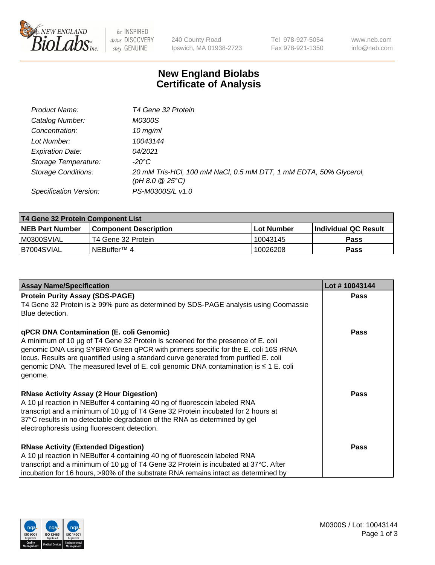

 $be$  INSPIRED drive DISCOVERY stay GENUINE

240 County Road Ipswich, MA 01938-2723 Tel 978-927-5054 Fax 978-921-1350 www.neb.com info@neb.com

## **New England Biolabs Certificate of Analysis**

| Product Name:              | T4 Gene 32 Protein                                                                     |
|----------------------------|----------------------------------------------------------------------------------------|
| Catalog Number:            | <i>M0300S</i>                                                                          |
| Concentration:             | $10 \, \text{mg/ml}$                                                                   |
| Lot Number:                | 10043144                                                                               |
| <b>Expiration Date:</b>    | 04/2021                                                                                |
| Storage Temperature:       | -20°C                                                                                  |
| <b>Storage Conditions:</b> | 20 mM Tris-HCl, 100 mM NaCl, 0.5 mM DTT, 1 mM EDTA, 50% Glycerol,<br>(pH 8.0 $@25°C$ ) |
| Specification Version:     | PS-M0300S/L v1.0                                                                       |

| T4 Gene 32 Protein Component List |                              |            |                       |  |  |
|-----------------------------------|------------------------------|------------|-----------------------|--|--|
| <b>NEB Part Number</b>            | <b>Component Description</b> | Lot Number | ∣Individual QC Result |  |  |
| M0300SVIAL                        | T4 Gene 32 Protein           | 10043145   | <b>Pass</b>           |  |  |
| B7004SVIAL                        | INEBuffer™ 4                 | 10026208   | Pass                  |  |  |

| <b>Assay Name/Specification</b>                                                                                                                                                                                                                                                                                                                                                                                         | Lot #10043144 |
|-------------------------------------------------------------------------------------------------------------------------------------------------------------------------------------------------------------------------------------------------------------------------------------------------------------------------------------------------------------------------------------------------------------------------|---------------|
| <b>Protein Purity Assay (SDS-PAGE)</b><br>T4 Gene 32 Protein is ≥ 99% pure as determined by SDS-PAGE analysis using Coomassie<br>Blue detection.                                                                                                                                                                                                                                                                        | <b>Pass</b>   |
| <b>qPCR DNA Contamination (E. coli Genomic)</b><br>A minimum of 10 µg of T4 Gene 32 Protein is screened for the presence of E. coli<br>genomic DNA using SYBR® Green qPCR with primers specific for the E. coli 16S rRNA<br>locus. Results are quantified using a standard curve generated from purified E. coli<br>genomic DNA. The measured level of E. coli genomic DNA contamination is $\leq 1$ E. coli<br>genome. | <b>Pass</b>   |
| <b>RNase Activity Assay (2 Hour Digestion)</b><br>A 10 µl reaction in NEBuffer 4 containing 40 ng of fluorescein labeled RNA<br>transcript and a minimum of 10 µg of T4 Gene 32 Protein incubated for 2 hours at<br>37°C results in no detectable degradation of the RNA as determined by gel<br>electrophoresis using fluorescent detection.                                                                           | <b>Pass</b>   |
| <b>RNase Activity (Extended Digestion)</b><br>A 10 µl reaction in NEBuffer 4 containing 40 ng of fluorescein labeled RNA<br>transcript and a minimum of 10 µg of T4 Gene 32 Protein is incubated at 37°C. After<br>incubation for 16 hours, >90% of the substrate RNA remains intact as determined by                                                                                                                   | <b>Pass</b>   |

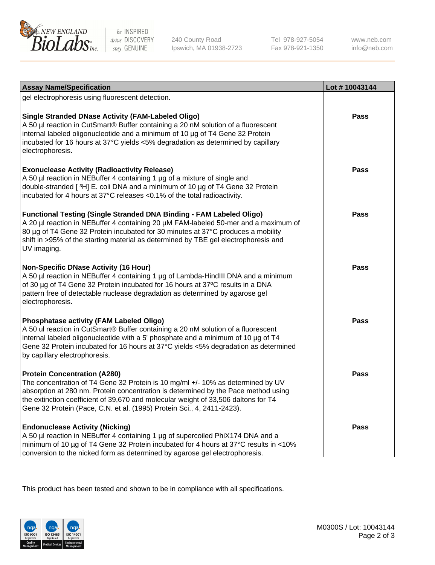

be INSPIRED drive DISCOVERY stay GENUINE

240 County Road Ipswich, MA 01938-2723 Tel 978-927-5054 Fax 978-921-1350 www.neb.com info@neb.com

| <b>Assay Name/Specification</b>                                                                                                                                                                                                                                                                                                                                              | Lot #10043144 |
|------------------------------------------------------------------------------------------------------------------------------------------------------------------------------------------------------------------------------------------------------------------------------------------------------------------------------------------------------------------------------|---------------|
| gel electrophoresis using fluorescent detection.                                                                                                                                                                                                                                                                                                                             |               |
| <b>Single Stranded DNase Activity (FAM-Labeled Oligo)</b><br>A 50 µl reaction in CutSmart® Buffer containing a 20 nM solution of a fluorescent<br>internal labeled oligonucleotide and a minimum of 10 µg of T4 Gene 32 Protein<br>incubated for 16 hours at 37°C yields <5% degradation as determined by capillary<br>electrophoresis.                                      | <b>Pass</b>   |
| <b>Exonuclease Activity (Radioactivity Release)</b><br>A 50 µl reaction in NEBuffer 4 containing 1 µg of a mixture of single and<br>double-stranded [3H] E. coli DNA and a minimum of 10 µg of T4 Gene 32 Protein<br>incubated for 4 hours at 37°C releases <0.1% of the total radioactivity.                                                                                | <b>Pass</b>   |
| <b>Functional Testing (Single Stranded DNA Binding - FAM Labeled Oligo)</b><br>A 20 µl reaction in NEBuffer 4 containing 20 µM FAM-labeled 50-mer and a maximum of<br>80 µg of T4 Gene 32 Protein incubated for 30 minutes at 37°C produces a mobility<br>shift in >95% of the starting material as determined by TBE gel electrophoresis and<br>UV imaging.                 | Pass          |
| <b>Non-Specific DNase Activity (16 Hour)</b><br>A 50 µl reaction in NEBuffer 4 containing 1 µg of Lambda-HindIII DNA and a minimum<br>of 30 µg of T4 Gene 32 Protein incubated for 16 hours at 37°C results in a DNA<br>pattern free of detectable nuclease degradation as determined by agarose gel<br>electrophoresis.                                                     | Pass          |
| <b>Phosphatase activity (FAM Labeled Oligo)</b><br>A 50 ul reaction in CutSmart® Buffer containing a 20 nM solution of a fluorescent<br>internal labeled oligonucleotide with a 5' phosphate and a minimum of 10 µg of T4<br>Gene 32 Protein incubated for 16 hours at 37°C yields <5% degradation as determined<br>by capillary electrophoresis.                            | <b>Pass</b>   |
| <b>Protein Concentration (A280)</b><br>The concentration of T4 Gene 32 Protein is 10 mg/ml +/- 10% as determined by UV<br>absorption at 280 nm. Protein concentration is determined by the Pace method using<br>the extinction coefficient of 39,670 and molecular weight of 33,506 daltons for T4<br>Gene 32 Protein (Pace, C.N. et al. (1995) Protein Sci., 4, 2411-2423). | Pass          |
| <b>Endonuclease Activity (Nicking)</b><br>A 50 µl reaction in NEBuffer 4 containing 1 µg of supercoiled PhiX174 DNA and a<br>minimum of 10 µg of T4 Gene 32 Protein incubated for 4 hours at 37°C results in <10%<br>conversion to the nicked form as determined by agarose gel electrophoresis.                                                                             | Pass          |

This product has been tested and shown to be in compliance with all specifications.